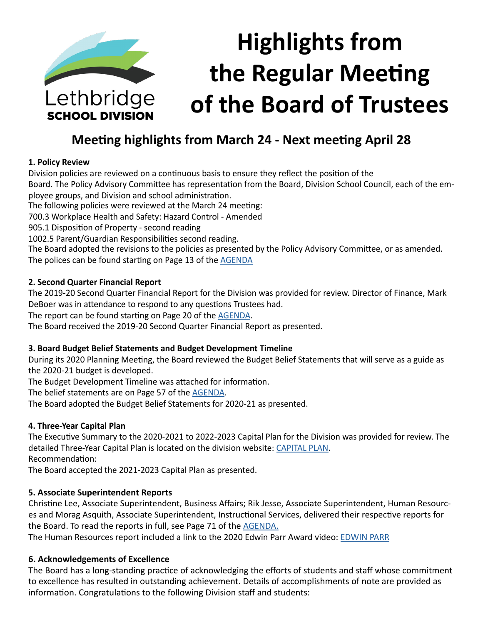

# **Highlights from the Regular Meeting of the Board of Trustees**

### **Meeting highlights from March 24 - Next meeting April 28**

#### **1. Policy Review**

Division policies are reviewed on a continuous basis to ensure they reflect the position of the

Board. The Policy Advisory Committee has representation from the Board, Division School Council, each of the employee groups, and Division and school administration.

The following policies were reviewed at the March 24 meeting:

700.3 Workplace Health and Safety: Hazard Control - Amended

905.1 Disposition of Property - second reading

1002.5 Parent/Guardian Responsibilities second reading.

The Board adopted the revisions to the policies as presented by the Policy Advisory Committee, or as amended. The polices can be found starting on Page 13 of the **[AGENDA](https://www.lethsd.ab.ca/download/241129)** 

#### **2. Second Quarter Financial Report**

The 2019-20 Second Quarter Financial Report for the Division was provided for review. Director of Finance, Mark DeBoer was in attendance to respond to any questions Trustees had.

The report can be found starting on Page 20 of the [AGENDA](https://www.lethsd.ab.ca/download/241129).

The Board received the 2019-20 Second Quarter Financial Report as presented.

#### **3. Board Budget Belief Statements and Budget Development Timeline**

During its 2020 Planning Meeting, the Board reviewed the Budget Belief Statements that will serve as a guide as the 2020-21 budget is developed.

The Budget Development Timeline was attached for information.

The belief statements are on Page 57 of the [AGENDA](https://www.lethsd.ab.ca/download/241129).

The Board adopted the Budget Belief Statements for 2020-21 as presented.

#### **4. Three-Year Capital Plan**

The Executive Summary to the 2020-2021 to 2022-2023 Capital Plan for the Division was provided for review. The detailed Three-Year Capital Plan is located on the division website: [CAPITAL PLAN](https://www.lethsd.ab.ca/download/242107). Recommendation:

The Board accepted the 2021-2023 Capital Plan as presented.

#### **5. Associate Superintendent Reports**

Christine Lee, Associate Superintendent, Business Affairs; Rik Jesse, Associate Superintendent, Human Resources and Morag Asquith, Associate Superintendent, Instructional Services, delivered their respective reports for the Board. To read the reports in full, see Page 71 of the [AGENDA](https://www.lethsd.ab.ca/download/241129).

The Human Resources report included a link to the 2020 Edwin Parr Award video: [EDWIN PARR](https://www.lethsd.ab.ca/our-district/news/post/division-selects-its-edwin-parr-award-nominee-for-2019-2020-school-year)

#### **6. Acknowledgements of Excellence**

The Board has a long-standing practice of acknowledging the efforts of students and staff whose commitment to excellence has resulted in outstanding achievement. Details of accomplishments of note are provided as information. Congratulations to the following Division staff and students: